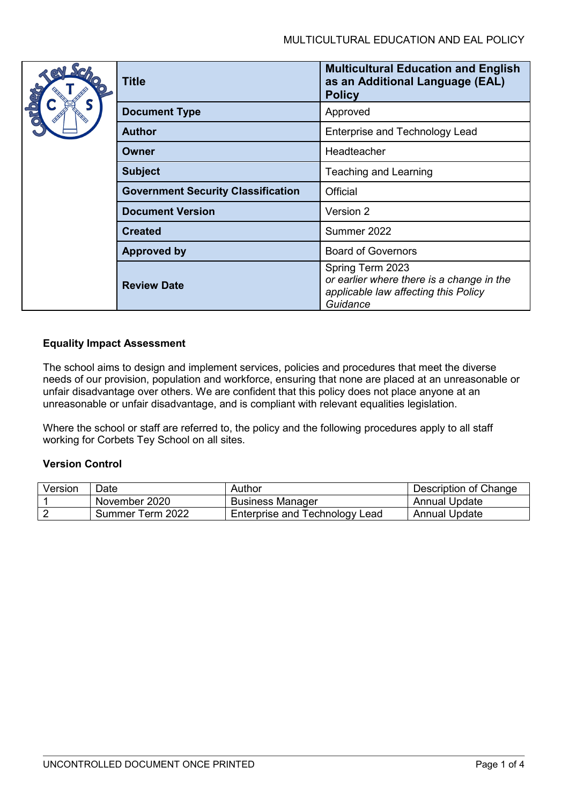|  | <b>Title</b>                              | <b>Multicultural Education and English</b><br>as an Additional Language (EAL)<br><b>Policy</b>                    |  |
|--|-------------------------------------------|-------------------------------------------------------------------------------------------------------------------|--|
|  | <b>Document Type</b>                      | Approved                                                                                                          |  |
|  | <b>Author</b>                             | <b>Enterprise and Technology Lead</b>                                                                             |  |
|  | Owner                                     | Headteacher                                                                                                       |  |
|  | <b>Subject</b>                            | Teaching and Learning                                                                                             |  |
|  | <b>Government Security Classification</b> | Official                                                                                                          |  |
|  | <b>Document Version</b>                   | Version 2                                                                                                         |  |
|  | <b>Created</b>                            | Summer 2022                                                                                                       |  |
|  | <b>Approved by</b>                        | <b>Board of Governors</b>                                                                                         |  |
|  | <b>Review Date</b>                        | Spring Term 2023<br>or earlier where there is a change in the<br>applicable law affecting this Policy<br>Guidance |  |

# **Equality Impact Assessment**

The school aims to design and implement services, policies and procedures that meet the diverse needs of our provision, population and workforce, ensuring that none are placed at an unreasonable or unfair disadvantage over others. We are confident that this policy does not place anyone at an unreasonable or unfair disadvantage, and is compliant with relevant equalities legislation.

Where the school or staff are referred to, the policy and the following procedures apply to all staff working for Corbets Tey School on all sites.

## **Version Control**

| Version | Date             | Author                         | Description of Change |
|---------|------------------|--------------------------------|-----------------------|
|         | November 2020    | <b>Business Manager</b>        | Annual Update         |
|         | Summer Term 2022 | Enterprise and Technology Lead | <b>Annual Update</b>  |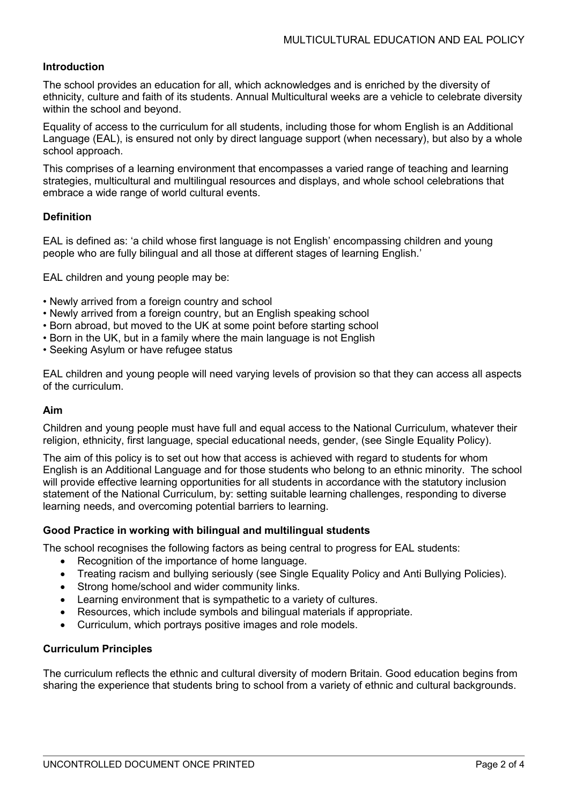## **Introduction**

The school provides an education for all, which acknowledges and is enriched by the diversity of ethnicity, culture and faith of its students. Annual Multicultural weeks are a vehicle to celebrate diversity within the school and beyond.

Equality of access to the curriculum for all students, including those for whom English is an Additional Language (EAL), is ensured not only by direct language support (when necessary), but also by a whole school approach.

This comprises of a learning environment that encompasses a varied range of teaching and learning strategies, multicultural and multilingual resources and displays, and whole school celebrations that embrace a wide range of world cultural events.

### **Definition**

EAL is defined as: 'a child whose first language is not English' encompassing children and young people who are fully bilingual and all those at different stages of learning English.'

EAL children and young people may be:

- Newly arrived from a foreign country and school
- Newly arrived from a foreign country, but an English speaking school
- Born abroad, but moved to the UK at some point before starting school
- Born in the UK, but in a family where the main language is not English
- Seeking Asylum or have refugee status

EAL children and young people will need varying levels of provision so that they can access all aspects of the curriculum.

### **Aim**

Children and young people must have full and equal access to the National Curriculum, whatever their religion, ethnicity, first language, special educational needs, gender, (see Single Equality Policy).

The aim of this policy is to set out how that access is achieved with regard to students for whom English is an Additional Language and for those students who belong to an ethnic minority. The school will provide effective learning opportunities for all students in accordance with the statutory inclusion statement of the National Curriculum, by: setting suitable learning challenges, responding to diverse learning needs, and overcoming potential barriers to learning.

### **Good Practice in working with bilingual and multilingual students**

The school recognises the following factors as being central to progress for EAL students:

- Recognition of the importance of home language.
- Treating racism and bullying seriously (see Single Equality Policy and Anti Bullying Policies).
- Strong home/school and wider community links.
- Learning environment that is sympathetic to a variety of cultures.
- Resources, which include symbols and bilingual materials if appropriate.
- Curriculum, which portrays positive images and role models.

### **Curriculum Principles**

The curriculum reflects the ethnic and cultural diversity of modern Britain. Good education begins from sharing the experience that students bring to school from a variety of ethnic and cultural backgrounds.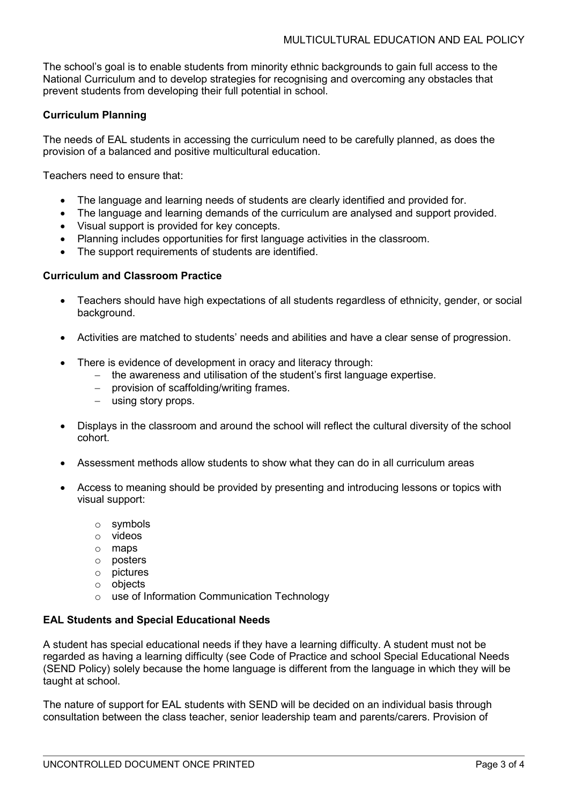The school's goal is to enable students from minority ethnic backgrounds to gain full access to the National Curriculum and to develop strategies for recognising and overcoming any obstacles that prevent students from developing their full potential in school.

# **Curriculum Planning**

The needs of EAL students in accessing the curriculum need to be carefully planned, as does the provision of a balanced and positive multicultural education.

Teachers need to ensure that:

- The language and learning needs of students are clearly identified and provided for.
- The language and learning demands of the curriculum are analysed and support provided.
- Visual support is provided for key concepts.
- Planning includes opportunities for first language activities in the classroom.
- The support requirements of students are identified.

### **Curriculum and Classroom Practice**

- Teachers should have high expectations of all students regardless of ethnicity, gender, or social background.
- Activities are matched to students' needs and abilities and have a clear sense of progression.
- There is evidence of development in oracy and literacy through:
	- − the awareness and utilisation of the student's first language expertise.
	- − provision of scaffolding/writing frames.
	- − using story props.
- Displays in the classroom and around the school will reflect the cultural diversity of the school cohort.
- Assessment methods allow students to show what they can do in all curriculum areas
- Access to meaning should be provided by presenting and introducing lessons or topics with visual support:
	- o symbols
	- o videos
	- o maps
	- o posters
	- o pictures
	- o objects
	- o use of Information Communication Technology

## **EAL Students and Special Educational Needs**

A student has special educational needs if they have a learning difficulty. A student must not be regarded as having a learning difficulty (see Code of Practice and school Special Educational Needs (SEND Policy) solely because the home language is different from the language in which they will be taught at school.

The nature of support for EAL students with SEND will be decided on an individual basis through consultation between the class teacher, senior leadership team and parents/carers. Provision of